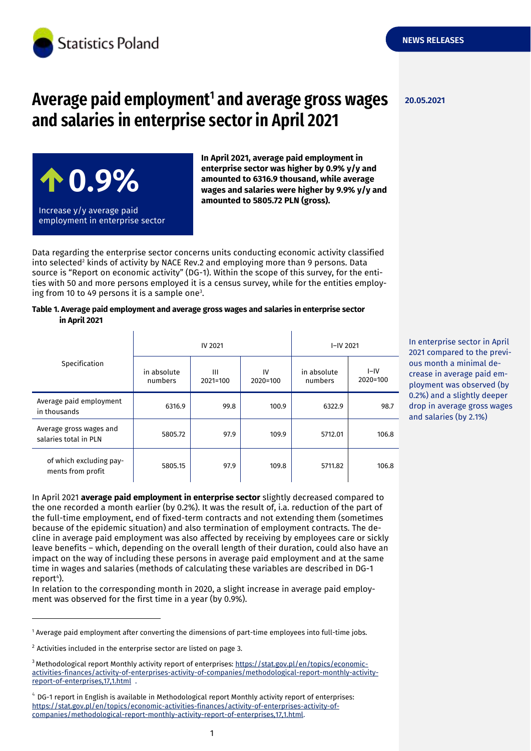

# **Average paid employment<sup>1</sup> and average gross wages and salaries in enterprise sector in April 2021**

 **0.9%** Increase y/y average paid employment in enterprise sector

**In April 2021, average paid employment in enterprise sector was higher by 0.9% y/y and amounted to 6316.9 thousand, while average wages and salaries were higher by 9.9% y/y and amounted to 5805.72 PLN (gross).**

Data regarding the enterprise sector concerns units conducting economic activity classified into selected<sup>2</sup> kinds of activity by NACE Rev.2 and employing more than 9 persons. Data source is "Report on economic activity" (DG-1). Within the scope of this survey, for the entities with 50 and more persons employed it is a census survey, while for the entities employing from 10 to 49 persons it is a sample one<sup>3</sup>.

#### **Table 1. Average paid employment and average gross wages and salaries in enterprise sector in April 2021**

| Specification                                    | <b>IV 2021</b>         |                   |                  | I-IV 2021              |                    |
|--------------------------------------------------|------------------------|-------------------|------------------|------------------------|--------------------|
|                                                  | in absolute<br>numbers | Ш<br>$2021 = 100$ | IV<br>$2020=100$ | in absolute<br>numbers | $I-IV$<br>2020=100 |
| Average paid employment<br>in thousands          | 6316.9                 | 99.8              | 100.9            | 6322.9                 | 98.7               |
| Average gross wages and<br>salaries total in PLN | 5805.72                | 97.9              | 109.9            | 5712.01                | 106.8              |
| of which excluding pay-<br>ments from profit     | 5805.15                | 97.9              | 109.8            | 5711.82                | 106.8              |

In April 2021 **average paid employment in enterprise sector** slightly decreased compared to the one recorded a month earlier (by 0.2%). It was the result of, i.a. reduction of the part of the full-time employment, end of fixed-term contracts and not extending them (sometimes because of the epidemic situation) and also termination of employment contracts. The decline in average paid employment was also affected by receiving by employees care or sickly leave benefits – which, depending on the overall length of their duration, could also have an impact on the way of including these persons in average paid employment and at the same time in wages and salaries (methods of calculating these variables are described in DG-1 report<sup>4</sup>).

In relation to the corresponding month in 2020, a slight increase in average paid employment was observed for the first time in a year (by 0.9%).

<sup>1</sup> Average paid employment after converting the dimensions of part-time employees into full-time jobs.

-

**20.05.2021**

In enterprise sector in April 2021 compared to the previous month a minimal decrease in average paid employment was observed (by 0.2%) and a slightly deeper drop in average gross wages and salaries (by 2.1%)

 $2$  Activities included in the enterprise sector are listed on page 3.

<sup>&</sup>lt;sup>3</sup> Methodological report Monthly activity report of enterprises: [https://stat.gov.pl/en/topics/economic](https://stat.gov.pl/en/topics/economic-activities-finances/activity-of-enterprises-activity-of-companies/methodological-report-monthly-activity-report-of-enterprises,17,1.html)[activities-finances/activity-of-enterprises-activity-of-companies/methodological-report-monthly-activity](https://stat.gov.pl/en/topics/economic-activities-finances/activity-of-enterprises-activity-of-companies/methodological-report-monthly-activity-report-of-enterprises,17,1.html)[report-of-enterprises,17,1.html](https://stat.gov.pl/en/topics/economic-activities-finances/activity-of-enterprises-activity-of-companies/methodological-report-monthly-activity-report-of-enterprises,17,1.html) .

 $4$  DG-1 report in English is available in Methodological report Monthly activity report of enterprises: [https://stat.gov.pl/en/topics/economic-activities-finances/activity-of-enterprises-activity-of](https://stat.gov.pl/en/topics/economic-activities-finances/activity-of-enterprises-activity-of-companies/methodological-report-monthly-activity-report-of-enterprises,17,1.html)[companies/methodological-report-monthly-activity-report-of-enterprises,17,1.html.](https://stat.gov.pl/en/topics/economic-activities-finances/activity-of-enterprises-activity-of-companies/methodological-report-monthly-activity-report-of-enterprises,17,1.html)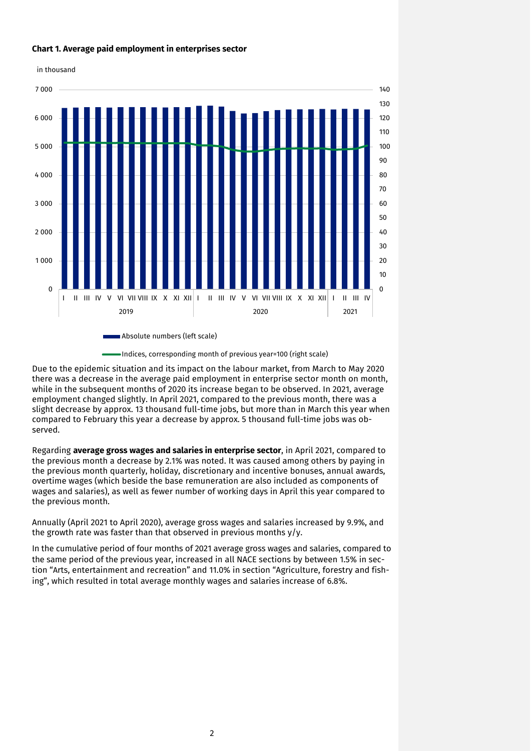

# **Chart 1. Average paid employment in enterprises sector**

Indices, corresponding month of previous year=100 (right scale)

Due to the epidemic situation and its impact on the labour market, from March to May 2020 there was a decrease in the average paid employment in enterprise sector month on month, while in the subsequent months of 2020 its increase began to be observed. In 2021, average employment changed slightly. In April 2021, compared to the previous month, there was a slight decrease by approx. 13 thousand full-time jobs, but more than in March this year when compared to February this year a decrease by approx. 5 thousand full-time jobs was observed.

Regarding **average gross wages and salaries in enterprise sector**, in April 2021, compared to the previous month a decrease by 2.1% was noted. It was caused among others by paying in the previous month quarterly, holiday, discretionary and incentive bonuses, annual awards, overtime wages (which beside the base remuneration are also included as components of wages and salaries), as well as fewer number of working days in April this year compared to the previous month.

Annually (April 2021 to April 2020), average gross wages and salaries increased by 9.9%, and the growth rate was faster than that observed in previous months  $y/y$ .

In the cumulative period of four months of 2021 average gross wages and salaries, compared to the same period of the previous year, increased in all NACE sections by between 1.5% in section "Arts, entertainment and recreation" and 11.0% in section "Agriculture, forestry and fishing", which resulted in total average monthly wages and salaries increase of 6.8%.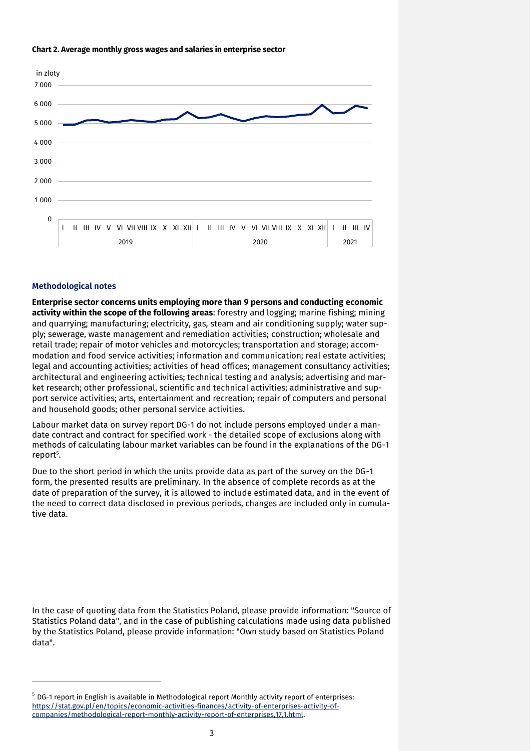#### **Chart 2. Average monthly gross wages and salaries in enterprise sector**



#### **Methodological notes**

-

**Enterprise sector concerns units employing more than 9 persons and conducting economic activity within the scope of the following areas**: forestry and logging; marine fishing; mining and quarrying; manufacturing; electricity, gas, steam and air conditioning supply; water supply; sewerage, waste management and remediation activities; construction; wholesale and retail trade; repair of motor vehicles and motorcycles; transportation and storage; accommodation and food service activities; information and communication; real estate activities; legal and accounting activities; activities of head offices; management consultancy activities; architectural and engineering activities; technical testing and analysis; advertising and market research; other professional, scientific and technical activities; administrative and support service activities; arts, entertainment and recreation; repair of computers and personal and household goods; other personal service activities.

Labour market data on survey report DG-1 do not include persons employed under a mandate contract and contract for specified work - the detailed scope of exclusions along with methods of calculating labour market variables can be found in the explanations of the DG-1 report<sup>5</sup>.

Due to the short period in which the units provide data as part of the survey on the DG-1 form, the presented results are preliminary. In the absence of complete records as at the date of preparation of the survey, it is allowed to include estimated data, and in the event of the need to correct data disclosed in previous periods, changes are included only in cumulative data.

In the case of quoting data from the Statistics Poland, please provide information: "Source of Statistics Poland data", and in the case of publishing calculations made using data published by the Statistics Poland, please provide information: "Own study based on Statistics Poland data".

 $5$  DG-1 report in English is available in Methodological report Monthly activity report of enterprises: [https://stat.gov.pl/en/topics/economic-activities-finances/activity-of-enterprises-activity-of](https://stat.gov.pl/en/topics/economic-activities-finances/activity-of-enterprises-activity-of-companies/methodological-report-monthly-activity-report-of-enterprises,17,1.html)[companies/methodological-report-monthly-activity-report-of-enterprises,17,1.html.](https://stat.gov.pl/en/topics/economic-activities-finances/activity-of-enterprises-activity-of-companies/methodological-report-monthly-activity-report-of-enterprises,17,1.html)